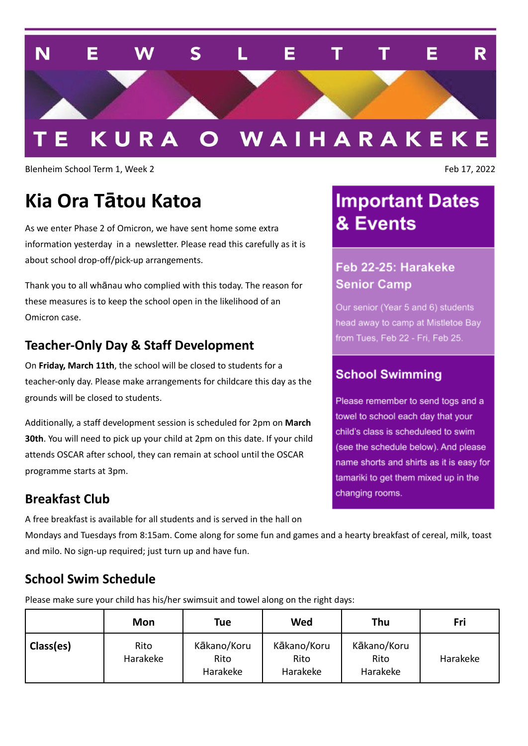

Blenheim School Term 1, Week 2 Feb 17, 2022

# **Kia Ora Tātou Katoa**

As we enter Phase 2 of Omicron, we have sent home some extra information yesterday in a newsletter. Please read this carefully as it is about school drop-off/pick-up arrangements.

Thank you to all whānau who complied with this today. The reason for these measures is to keep the school open in the likelihood of an Omicron case.

### **Teacher-Only Day & Staff Development**

On **Friday, March 11th**, the school will be closed to students for a teacher-only day. Please make arrangements for childcare this day as the grounds will be closed to students.

Additionally, a staff development session is scheduled for 2pm on **March 30th**. You will need to pick up your child at 2pm on this date. If your child attends OSCAR after school, they can remain at school until the OSCAR programme starts at 3pm.

### **Breakfast Club**

A free breakfast is available for all students and is served in the hall on

Mondays and Tuesdays from 8:15am. Come along for some fun and games and a hearty breakfast of cereal, milk, toast and milo. No sign-up required; just turn up and have fun.

### **School Swim Schedule**

Please make sure your child has his/her swimsuit and towel along on the right days:

|           | Mon              | <b>Tue</b>                      | Wed                             | Thu                             | Fri      |
|-----------|------------------|---------------------------------|---------------------------------|---------------------------------|----------|
| Class(es) | Rito<br>Harakeke | Kākano/Koru<br>Rito<br>Harakeke | Kākano/Koru<br>Rito<br>Harakeke | Kākano/Koru<br>Rito<br>Harakeke | Harakeke |

# **Important Dates** & Events

## Feb 22-25: Harakeke **Senior Camp**

Our senior (Year 5 and 6) students head away to camp at Mistletoe Bay from Tues, Feb 22 - Fri, Feb 25.

### **School Swimming**

Please remember to send togs and a towel to school each day that your child's class is scheduleed to swim (see the schedule below). And please name shorts and shirts as it is easy for tamariki to get them mixed up in the changing rooms.